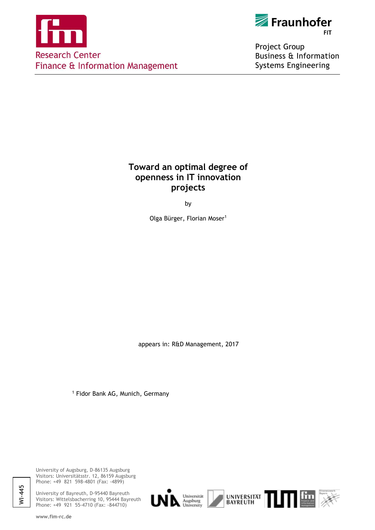



Project Group **Business & Information Systems Engineering** 

## **Toward an optimal degree of openness in IT innovation projects**

by

Olga Bürger, Florian Moser<sup>1</sup>

appears in: R&D Management, 2017

<sup>1</sup> Fidor Bank AG, Munich, Germany

University of Augsburg, D-86135 Augsburg Visitors: Universitätsstr. 12, 86159 Augsburg Phone: +49 821 598-4801 (Fax: -4899)

University of Bayreuth, D-95440 Bayreuth Visitors: Wittelsbacherring 10, 95444 Bayreuth Phone: +49 921 55-4710 (Fax: -844710)